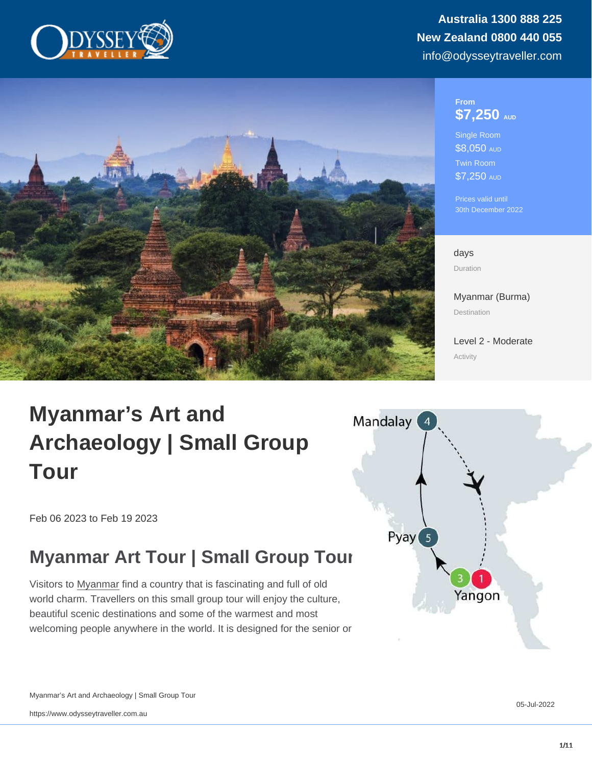#### From \$7,250 AUD

Single Room \$8,050 AUD Twin Room \$7,250 AUD

Prices valid until 30th December 2022

days Duration

[Myanmar \(Burma\)](https://www.odysseytraveller.com/destinations/asia-and-the-orient/myanmar-burma/) Destination

[Level 2 - Moderate](/tour-category/activity-levels/) Activity

# Myanmar's Art and Archaeology | Small Group Tour

Feb 06 2023 to Feb 19 2023

# Myanmar Art Tour | Small Group Tour

Visitors to [Myanmar](https://www.odysseytraveller.com/articles/questions-about-myanmar/) find a country that is fascinating and full of old world charm. Travellers on this small group tour will enjoy the culture, beautiful scenic destinations and some of the warmest and most welcoming people anywhere in the world. It is designed for the senior or

Myanmar's Art and Archaeology | Small Group Tour

https://www.odysseytraveller.com.au

05-Jul-2022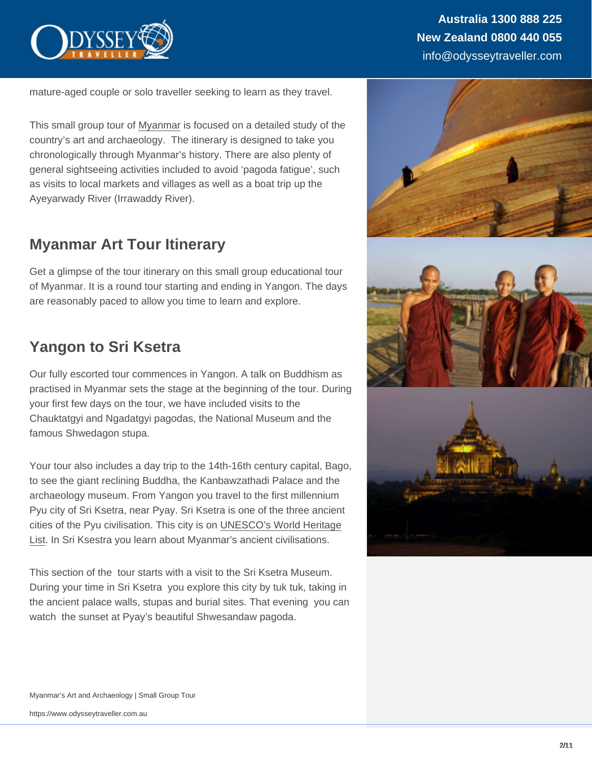mature-aged couple or solo traveller seeking to learn as they travel.

This small group tour of [Myanmar](https://www.odysseytraveller.com/destinations/asia-and-the-orient/myanmar-burma/) is focused on a detailed study of the country's art and archaeology. The itinerary is designed to take you chronologically through Myanmar's history. There are also plenty of general sightseeing activities included to avoid 'pagoda fatigue', such as visits to local markets and villages as well as a boat trip up the Ayeyarwady River (Irrawaddy River).

### Myanmar Art Tour Itinerary

Get a glimpse of the tour itinerary on this small group educational tour of Myanmar. It is a round tour starting and ending in Yangon. The days are reasonably paced to allow you time to learn and explore.

# Yangon to Sri Ksetra

Our fully escorted tour commences in Yangon. A talk on Buddhism as practised in Myanmar sets the stage at the beginning of the tour. During your first few days on the tour, we have included visits to the Chauktatgyi and Ngadatgyi pagodas, the National Museum and the famous Shwedagon stupa.

Your tour also includes a day trip to the 14th-16th century capital, Bago, to see the giant reclining Buddha, the Kanbawzathadi Palace and the archaeology museum. From Yangon you travel to the first millennium Pyu city of Sri Ksetra, near Pyay. Sri Ksetra is one of the three ancient cities of the Pyu civilisation. This city is on [UNESCO's World Heritage](https://whc.unesco.org/en/list/1444/) [List.](https://whc.unesco.org/en/list/1444/) In Sri Ksestra you learn about Myanmar's ancient civilisations.

This section of the tour starts with a visit to the Sri Ksetra Museum. During your time in Sri Ksetra you explore this city by tuk tuk, taking in the ancient palace walls, stupas and burial sites. That evening you can watch the sunset at Pyay's beautiful Shwesandaw pagoda.

Myanmar's Art and Archaeology | Small Group Tour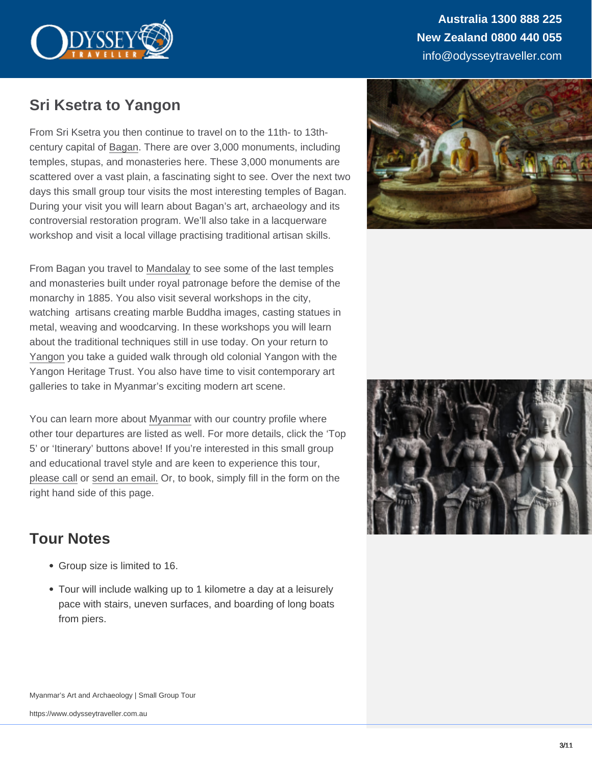Australia 1300 888 225 New Zealand 0800 440 055 info@odysseytraveller.com

### Sri Ksetra to Yangon

From Sri Ksetra you then continue to travel on to the 11th- to 13thcentury capital of [Bagan](https://www.odysseytraveller.com/articles/explore-bagan-a-cultural-and-artistic-wonderland-tour/). There are over 3,000 monuments, including temples, stupas, and monasteries here. These 3,000 monuments are scattered over a vast plain, a fascinating sight to see. Over the next two days this small group tour visits the most interesting temples of Bagan. During your visit you will learn about Bagan's art, archaeology and its controversial restoration program. We'll also take in a lacquerware workshop and visit a local village practising traditional artisan skills.

From Bagan you travel to [Mandalay](https://www.odysseytraveller.com/articles/mandalay-myanmar/) to see some of the last temples and monasteries built under royal patronage before the demise of the monarchy in 1885. You also visit several workshops in the city, watching artisans creating marble Buddha images, casting statues in metal, weaving and woodcarving. In these workshops you will learn about the traditional techniques still in use today. On your return to [Yangon](https://www.odysseytraveller.com/articles/myanmar-yangon/) you take a guided walk through old colonial Yangon with the Yangon Heritage Trust. You also have time to visit contemporary art galleries to take in Myanmar's exciting modern art scene.

You can learn more about [Myanmar](https://www.odysseytraveller.com/destinations/asia-and-the-orient/myanmar-burma/) with our country profile where other tour departures are listed as well. For more details, click the 'Top 5' or 'Itinerary' buttons above! If you're interested in this small group and educational travel style and are keen to experience this tour, [please call](https://www.odysseytraveller.com/contact-us/) or [send an email.](mailto:info@odysseytravel.com.au) Or, to book, simply fill in the form on the right hand side of this page.

### Tour Notes

- Group size is limited to 16.
- Tour will include walking up to 1 kilometre a day at a leisurely pace with stairs, uneven surfaces, and boarding of long boats from piers.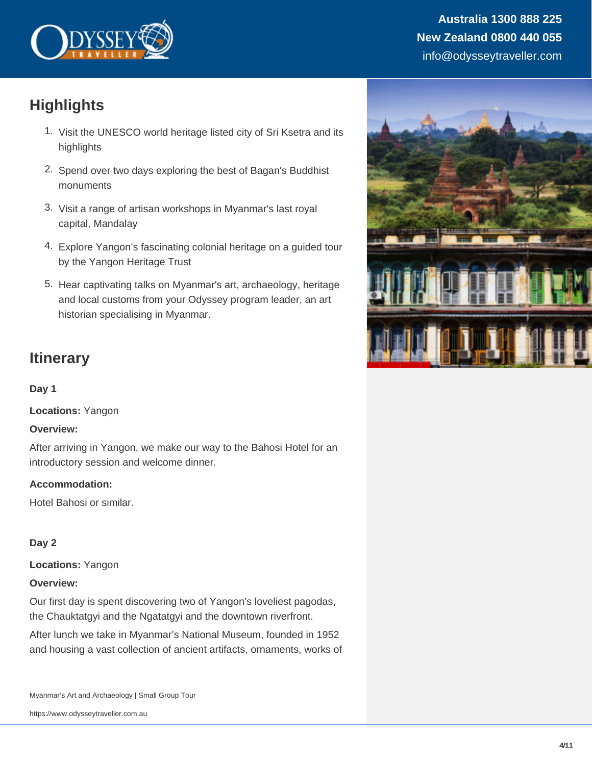

### **Australia 1300 888 225 New Zealand 0800 440 055** info@odysseytraveller.com

# **Highlights**

- 1. Visit the UNESCO world heritage listed city of Sri Ksetra and its highlights
- 2. Spend over two days exploring the best of Bagan's Buddhist monuments
- 3. Visit a range of artisan workshops in Myanmar's last royal capital, Mandalay
- 4. Explore Yangon's fascinating colonial heritage on a guided tour by the Yangon Heritage Trust
- 5. Hear captivating talks on Myanmar's art, archaeology, heritage and local customs from your Odyssey program leader, an art historian specialising in Myanmar.

## **Itinerary**

#### **Day 1**

**Locations:** Yangon

#### **Overview:**

After arriving in Yangon, we make our way to the Bahosi Hotel for an introductory session and welcome dinner.

#### **Accommodation:**

Hotel Bahosi or similar.

#### **Day 2**

**Locations:** Yangon

#### **Overview:**

Our first day is spent discovering two of Yangon's loveliest pagodas, the Chauktatgyi and the Ngatatgyi and the downtown riverfront.

After lunch we take in Myanmar's National Museum, founded in 1952 and housing a vast collection of ancient artifacts, ornaments, works of

Myanmar's Art and Archaeology | Small Group Tour

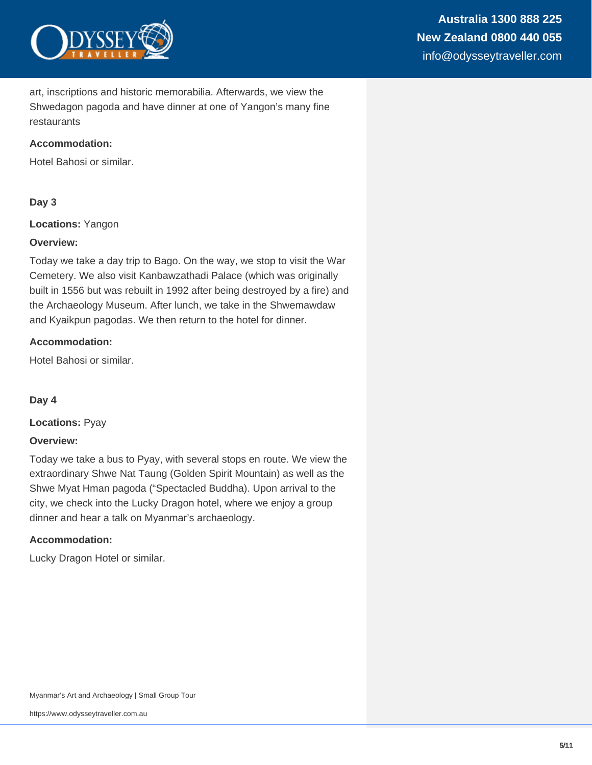

art, inscriptions and historic memorabilia. Afterwards, we view the Shwedagon pagoda and have dinner at one of Yangon's many fine restaurants

#### **Accommodation:**

Hotel Bahosi or similar.

#### **Day 3**

**Locations:** Yangon

#### **Overview:**

Today we take a day trip to Bago. On the way, we stop to visit the War Cemetery. We also visit Kanbawzathadi Palace (which was originally built in 1556 but was rebuilt in 1992 after being destroyed by a fire) and the Archaeology Museum. After lunch, we take in the Shwemawdaw and Kyaikpun pagodas. We then return to the hotel for dinner.

#### **Accommodation:**

Hotel Bahosi or similar.

**Day 4**

**Locations:** Pyay

#### **Overview:**

Today we take a bus to Pyay, with several stops en route. We view the extraordinary Shwe Nat Taung (Golden Spirit Mountain) as well as the Shwe Myat Hman pagoda ("Spectacled Buddha). Upon arrival to the city, we check into the Lucky Dragon hotel, where we enjoy a group dinner and hear a talk on Myanmar's archaeology.

#### **Accommodation:**

Lucky Dragon Hotel or similar.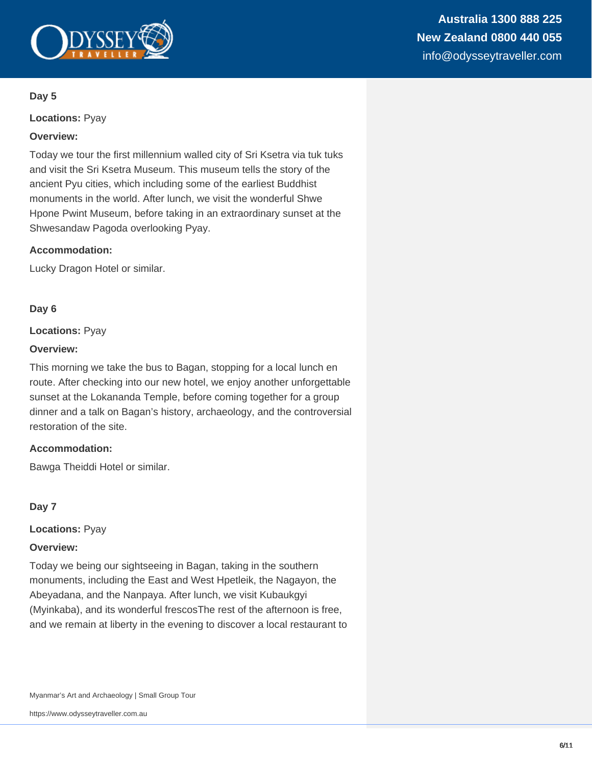

#### **Day 5**

**Locations:** Pyay

#### **Overview:**

Today we tour the first millennium walled city of Sri Ksetra via tuk tuks and visit the Sri Ksetra Museum. This museum tells the story of the ancient Pyu cities, which including some of the earliest Buddhist monuments in the world. After lunch, we visit the wonderful Shwe Hpone Pwint Museum, before taking in an extraordinary sunset at the Shwesandaw Pagoda overlooking Pyay.

#### **Accommodation:**

Lucky Dragon Hotel or similar.

#### **Day 6**

#### **Locations:** Pyay

#### **Overview:**

This morning we take the bus to Bagan, stopping for a local lunch en route. After checking into our new hotel, we enjoy another unforgettable sunset at the Lokananda Temple, before coming together for a group dinner and a talk on Bagan's history, archaeology, and the controversial restoration of the site.

#### **Accommodation:**

Bawga Theiddi Hotel or similar.

#### **Day 7**

**Locations:** Pyay

#### **Overview:**

Today we being our sightseeing in Bagan, taking in the southern monuments, including the East and West Hpetleik, the Nagayon, the Abeyadana, and the Nanpaya. After lunch, we visit Kubaukgyi (Myinkaba), and its wonderful frescosThe rest of the afternoon is free, and we remain at liberty in the evening to discover a local restaurant to

Myanmar's Art and Archaeology | Small Group Tour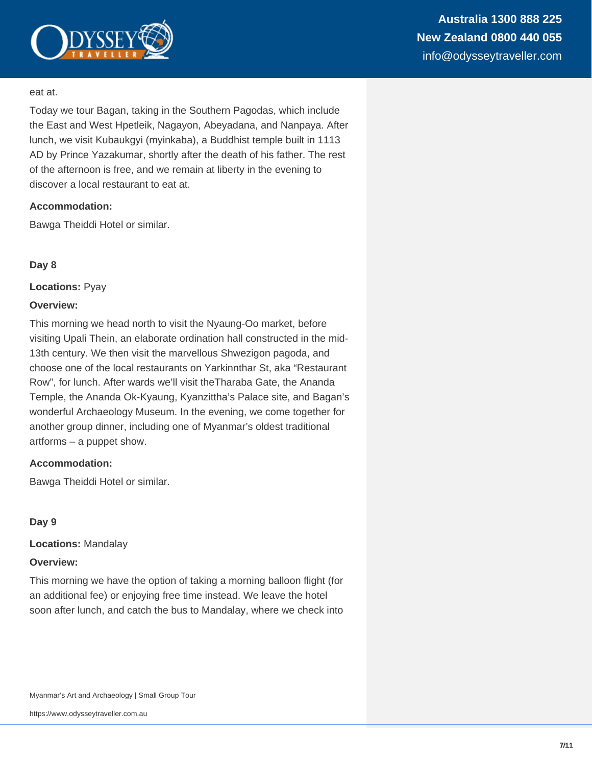

#### eat at.

Today we tour Bagan, taking in the Southern Pagodas, which include the East and West Hpetleik, Nagayon, Abeyadana, and Nanpaya. After lunch, we visit Kubaukgyi (myinkaba), a Buddhist temple built in 1113 AD by Prince Yazakumar, shortly after the death of his father. The rest of the afternoon is free, and we remain at liberty in the evening to discover a local restaurant to eat at.

#### **Accommodation:**

Bawga Theiddi Hotel or similar.

#### **Day 8**

**Locations:** Pyay

#### **Overview:**

This morning we head north to visit the Nyaung-Oo market, before visiting Upali Thein, an elaborate ordination hall constructed in the mid-13th century. We then visit the marvellous Shwezigon pagoda, and choose one of the local restaurants on Yarkinnthar St, aka "Restaurant Row", for lunch. After wards we'll visit theTharaba Gate, the Ananda Temple, the Ananda Ok-Kyaung, Kyanzittha's Palace site, and Bagan's wonderful Archaeology Museum. In the evening, we come together for another group dinner, including one of Myanmar's oldest traditional artforms – a puppet show.

#### **Accommodation:**

Bawga Theiddi Hotel or similar.

#### **Day 9**

**Locations:** Mandalay

#### **Overview:**

This morning we have the option of taking a morning balloon flight (for an additional fee) or enjoying free time instead. We leave the hotel soon after lunch, and catch the bus to Mandalay, where we check into

Myanmar's Art and Archaeology | Small Group Tour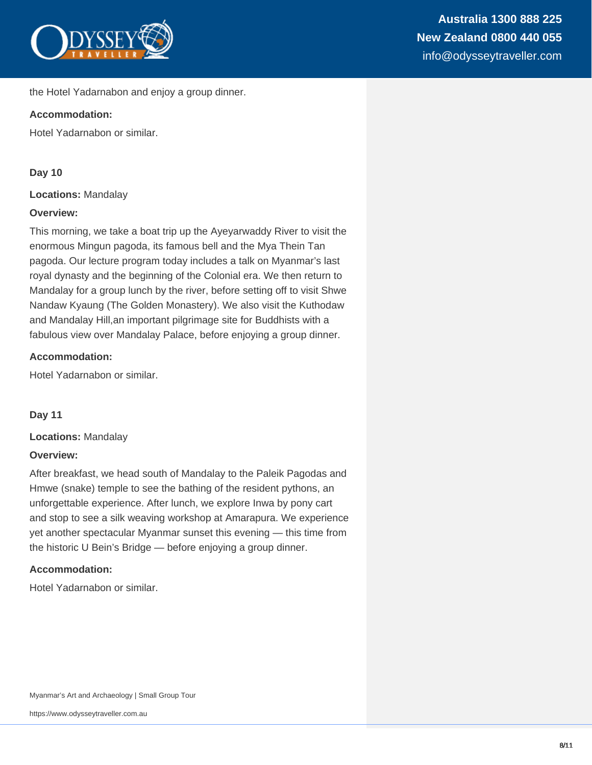

the Hotel Yadarnabon and enjoy a group dinner.

#### **Accommodation:**

Hotel Yadarnabon or similar.

#### **Day 10**

**Locations:** Mandalay

#### **Overview:**

This morning, we take a boat trip up the Ayeyarwaddy River to visit the enormous Mingun pagoda, its famous bell and the Mya Thein Tan pagoda. Our lecture program today includes a talk on Myanmar's last royal dynasty and the beginning of the Colonial era. We then return to Mandalay for a group lunch by the river, before setting off to visit Shwe Nandaw Kyaung (The Golden Monastery). We also visit the Kuthodaw and Mandalay Hill,an important pilgrimage site for Buddhists with a fabulous view over Mandalay Palace, before enjoying a group dinner.

#### **Accommodation:**

Hotel Yadarnabon or similar.

**Day 11**

**Locations:** Mandalay

#### **Overview:**

After breakfast, we head south of Mandalay to the Paleik Pagodas and Hmwe (snake) temple to see the bathing of the resident pythons, an unforgettable experience. After lunch, we explore Inwa by pony cart and stop to see a silk weaving workshop at Amarapura. We experience yet another spectacular Myanmar sunset this evening — this time from the historic U Bein's Bridge — before enjoying a group dinner.

#### **Accommodation:**

Hotel Yadarnabon or similar.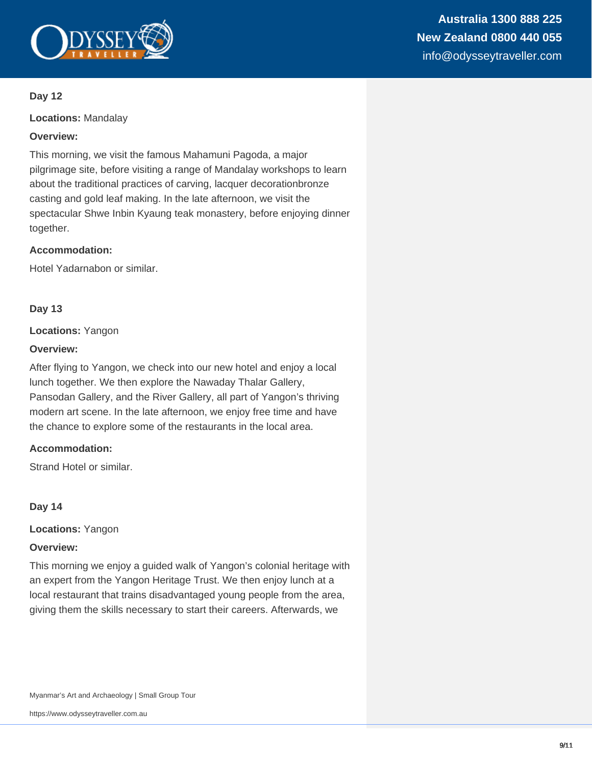

#### **Day 12**

**Locations:** Mandalay

#### **Overview:**

This morning, we visit the famous Mahamuni Pagoda, a major pilgrimage site, before visiting a range of Mandalay workshops to learn about the traditional practices of carving, lacquer decorationbronze casting and gold leaf making. In the late afternoon, we visit the spectacular Shwe Inbin Kyaung teak monastery, before enjoying dinner together.

#### **Accommodation:**

Hotel Yadarnabon or similar.

#### **Day 13**

#### **Locations:** Yangon

#### **Overview:**

After flying to Yangon, we check into our new hotel and enjoy a local lunch together. We then explore the Nawaday Thalar Gallery, Pansodan Gallery, and the River Gallery, all part of Yangon's thriving modern art scene. In the late afternoon, we enjoy free time and have the chance to explore some of the restaurants in the local area.

#### **Accommodation:**

Strand Hotel or similar.

#### **Day 14**

**Locations:** Yangon

#### **Overview:**

This morning we enjoy a guided walk of Yangon's colonial heritage with an expert from the Yangon Heritage Trust. We then enjoy lunch at a local restaurant that trains disadvantaged young people from the area, giving them the skills necessary to start their careers. Afterwards, we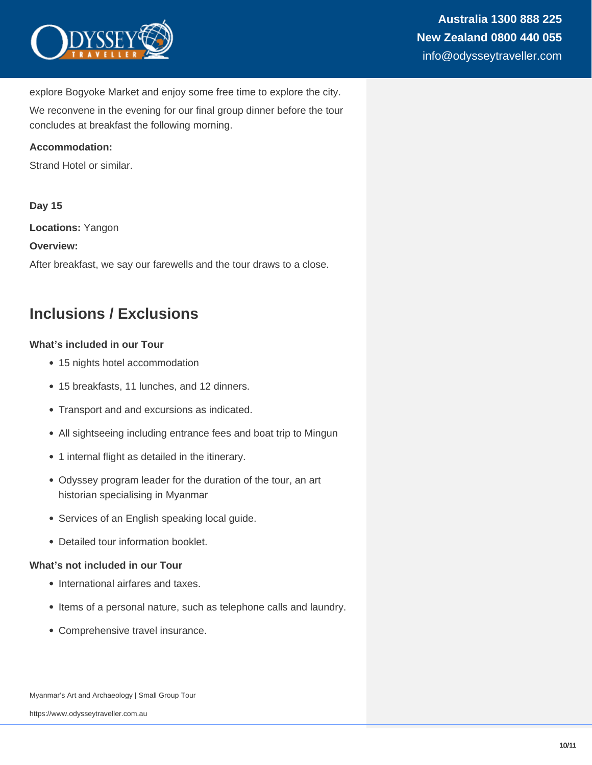

explore Bogyoke Market and enjoy some free time to explore the city.

We reconvene in the evening for our final group dinner before the tour concludes at breakfast the following morning.

#### **Accommodation:**

Strand Hotel or similar.

#### **Day 15**

**Locations:** Yangon

#### **Overview:**

After breakfast, we say our farewells and the tour draws to a close.

## **Inclusions / Exclusions**

#### **What's included in our Tour**

- 15 nights hotel accommodation
- 15 breakfasts, 11 lunches, and 12 dinners.
- Transport and and excursions as indicated.
- All sightseeing including entrance fees and boat trip to Mingun
- 1 internal flight as detailed in the itinerary.
- Odyssey program leader for the duration of the tour, an art historian specialising in Myanmar
- Services of an English speaking local guide.
- Detailed tour information booklet.

#### **What's not included in our Tour**

- International airfares and taxes.
- Items of a personal nature, such as telephone calls and laundry.
- Comprehensive travel insurance.